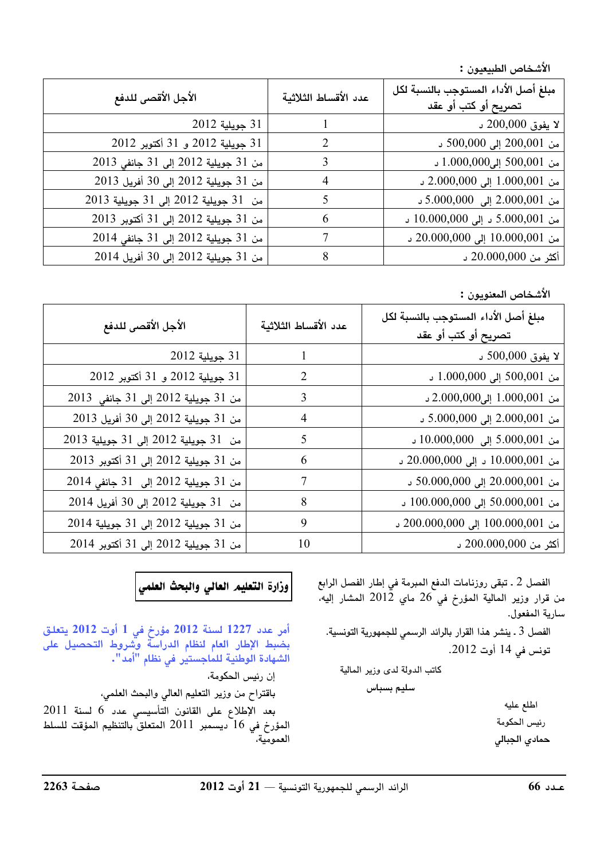الأشخاص الطبيعيون :

| الأجل الأقصى للدفع                   | عدد الأقساط الثلاثية | مبلغ أصل الأداء المستوجب بالنسبة لكل<br>تصريح أو كتب أو عقد |
|--------------------------------------|----------------------|-------------------------------------------------------------|
| 31 جويلية 2012                       |                      | لا يفوق 200,000 د                                           |
| 31 جويلية 2012 و 31 أكتوبر 2012      | $\mathcal{L}$        | من 200,001 إلى 500,000 د                                    |
| من 31 جويلية 2012 إلى 31 جانفي 2013  | 3                    | من 500,001 إلى1.000,000 د                                   |
| من 31 جويلية 2012 إلى 30 أفريل 2013  | 4                    | من 1.000,001 إلى 2.000,000 د                                |
| من 31 جويلية 2012 إلى 31 جويلية 2013 |                      | من 2.000,001 إلى 5.000,000 د                                |
| من 31 جويلية 2012 إلى 31 أكتوبر 2013 | 6                    | من 5.000,001 د إلى 10.000,000 د                             |
| من 31 جويلية 2012 إلى 31 جانفي 2014  |                      | من 10.000,001 إلى 20.000,000 د                              |
| من 31 جويلية 2012 إلى 30 أفريل 2014  | 8                    | أكثر من 20.000,000 د                                        |

الأشخاص المعنويون :

| الأجل الأقصى للدفع                   | عدد الأقساط الثلاثية | مبلغ أصل الأداء المستوجب بالنسبة لكل<br>تصريح أو كتب أو عقد |
|--------------------------------------|----------------------|-------------------------------------------------------------|
| 31 جويلية 2012                       |                      | لا يفوق 500,000 د                                           |
| 31 جويلية 2012 و 31 أكتوبر 2012      | 2                    | من 500,001 إلى 1.000,000 د                                  |
| من 31 جويلية 2012 إلى 31 جانفي 2013  | 3                    | من 1.000,001 إلى2.000,000 د                                 |
| من 31 جويلية 2012 إلى 30 أفريل 2013  | 4                    | من 2.000,001 إلى 5.000,000 د                                |
| من 31 جويلية 2012 إلى 31 جويلية 2013 | 5                    | من 5.000,001 إلى 10.000,000 د                               |
| من 31 جويلية 2012 إلى 31 أكتوبر 2013 | 6                    | من 10.000,001 د إلى 20.000,000 د                            |
| من 31 جويلية 2012 إلى 31 جانفي 2014  | 7                    | من 20.000,001 إلى 50.000,000 د                              |
| من 31 جويلية 2012 إلى 30 أفريل 2014  | 8                    | من 50.000,001 إلى 100.000,000 د                             |
| من 31 جويلية 2012 إلى 31 جويلية 2014 | 9                    | من 100.000,001 إلى 200.000,000 د                            |
| من 31 جويلية 2012 إلى 31 أكتوبر 2014 | 10                   | أكثر من 200.000,000 د                                       |

الفصل 2 ـ تبقى روزنامات الدفع المبرمة في إطار الفصل الرابع من قرار وزير المالية المؤرخ فى 26 ماي 2012 المشار إليه، سارية المفعول.

الفصل 3 ـ ينشر هذا القرار بالرائد الرسمي للجمهورية التونسية. تونس في 14 أوت 2012.

كاتب الدولة لدى وزير المالية

سليم بسباس

اطلع عليه رئيس الحكومة حمادي الجبالى

.<br>|وزارة التعليم العالي والبحث العلمي

أمر عدد 1227 لسنة 2012 مؤرخ في 1 أوت 2012 يتعلق بضَّبط الإطار العام لنظام الدراسة وشروط التحصيل على الشهادة الوطنية للماجستير في نظام "أمد".

إن رئيس الحكومة،

باقتراح من وزير التعليم العالي والبحث العلمي،

بعد الإطلاع على القانون التأسيسي عدد 6 لسنة 2011 المؤرخ في 16 ديسمبر 2011 المتعلق بالتنظيم المؤقت للسلط العمومية،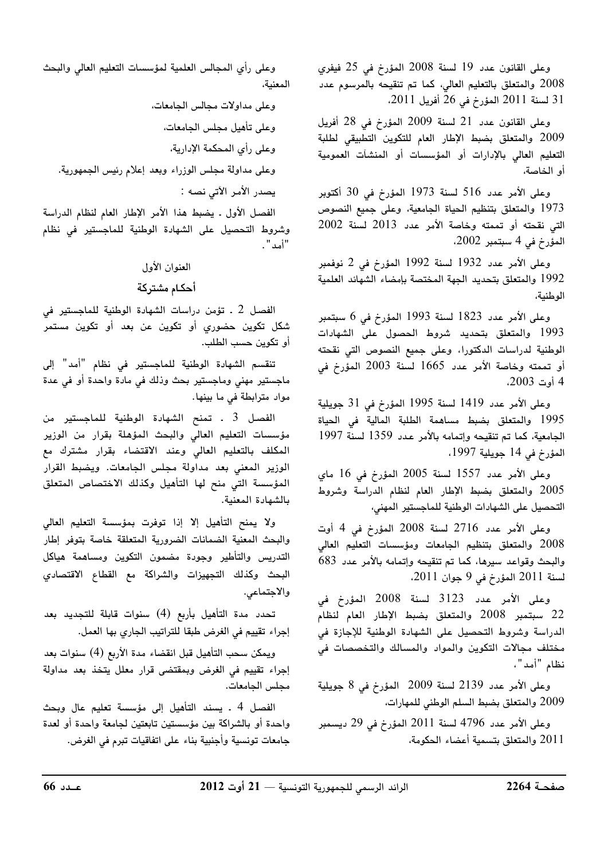وعلى القانون عدد 19 لسنة 2008 المؤرخ في 25 فيفري ي 2008 والمتعلق بالتعليم العالي، كما تم تنقيحه بالمرسوم عدد · 31 لسنة 2011 المؤرخ في 26 أفريل 2011.

وعلى القانون عدد 21 لسنة 2009 المؤرخ في 28 أفريل 2009 والمتعلق بضبط الإطار العام للتكوين التطبيقي لطلبة التعليم العالي بالإدارات أو المؤسسات أو المنشآت العمومية أو الخاصة،

وعلى الأمر عدد 516 لسنة 1973 المؤرخ في 30 أكتوبر و 1973 والمتعلق بتنظيم الحياة الجامعية، وعلى جميع النصوص - $2002$  التي نقحته أو تممته وخاصة الأمر عدد 2013 لسنة 2002  $(2002, 4, 4)$ المؤرخ في 4 سبتمد

وعلى الأمر عدد 1932 لسنة 1992 المؤرخ في 2 نوفمبر 1992 والمتعلق بتحديد الجهة المختصة بإمضاء الشهائد العلمية الوطنية،

وعلى الأمر عدد 1823 لسنة 1993 المؤرخ في 6 سبتمد 1993 والمتعلق بتحديد شروط الحصول على الشهادات الوطنية لدراسات الدكتورا، وعلى جميع النصوص التى نقحته أو تممته وخاصة الأمر عدد 1665 لسنة 2003 المؤرخ فى 4 أوت 2003،

وعلى الأمر عدد 1419 لسنة 1995 المؤرخ في 31 جويلية .<br>1995 والمتعلق يضبط مساهمة الطلبة المالية في الحياة الجامعية، كما تم تنقيحه واتمامه بالأمر عدد 1359 لسنة 1997 المؤرخ في 14 جويلية 1997،

وعلى الأمر عدد 1557 لسنة 2005 المؤرخ فى 16 ماي 2005 والمتعلق بضبط الإطار العام لنظام الدراسة وشروط التحصيل على الشهادات الوطنية للماجستير المهنى،

وعلى الأمر عدد 2716 لسنة 2008 المؤرخ في 4 أوت .<br>2008 والمتعلق بتنظيم الجامعات ومؤسسات التعليم العالي .<br>والبحث وقواعد سيرها، كما تم تنقيحه واتمامه بالأمر عدد 683  $12011$  المؤرخ في 9 جوان 2011.

وعلى الأمر عدد 3123 لسنة 2008 المؤرخ في .<br>22 سبتمد 2008 والمتعلق بضبط الإطار العام لنظام الدراسة وشروط التحصيل على الشهادة الوطنية للإجازة فى مختلف مجالات التكوين والمواد والمسالك والتخصصات في نظام "أمد"،

وعلى الأمر عدد 2139 لسنة 2009 المؤرخ في 8 جويلية 2009 والمتعلق يضبط السلم الوطني للم*ع*ارات،

وعلى الأمر عدد 4796 لسنة 2011 المؤرخ في 29 ديسمبر 2011 والمتعلق بتسمية أعضاء الحكومة،

وعلى رأى المحالس العلمية لمؤسسات التعليم العالى والبحث المعنية،

وعلى مداولات مجالس الجامعات، وعلى تأهيل مجلس الجامعات، وعلى رأى المحكمة الإدارية، وعلى مداولة مجلس الوزراء وبعد إعلام رئيس الجمهورية. يصدر الأمر الآتي نصه :

الفصل الأول . يضبط هذا الأمر الإطار العام لنظام الدراسة وشروط التحصيل على الشهادة الوطنية للماجستير فى نظام "أمد " .

## العنوان الأول

## احكام مشتركة

الفصل 2 ـ تؤمن دراسات الشهادة الوطنية للماجستير في شكل تكوين حضوري أو تكوين عن بعد أو تكوين مستمر أو تكوين حسب الطلب.

.<br>تنقسم الشهادة الوطنية للماحستين في نظام "أمد" الي ماجستير مهنى وماجستير بحث وذلك فى مادة واحدة أو فى عدة مواد مترابطة في ما بينها.

الفصل 3 . تمنح الشهادة الوطنية للماجستير من مؤسسات التعليم العالي والبحث المؤهلة يقرآن من الوزير .<br>المكلف بالتعليم العالي وعند الاقتضاء بقرار مشترك مع ..<br>الوزير المعنى بعد مداولة محلس الجامعات. ويضبط القرار المؤسسة التي منح لها التأهيل وكذلك الاختصاص المتعلق بالشهادة المعنية.

.<br>ولا يمنح التأهيل الا إذا توفرت بمؤسسة التعليم العالي .<br>والبحث المعنية الضمانات الضرورية المتعلقة خاصة بتوفر اطار التدريس والتأطير وجودة مضمون التكوين ومساهمة هياكل البحث وكذلك التحهيزات والشراكة مع القطاع الاقتصا*دي* والاجتماعى.

تحدد مدة التأهيل بأربع (4) سنوات قابلة للتجديد بعد احراء تقييم في الغرض طبقا للتراتيب الجاري بها العمل.

ويمكن سجب التأهيل قبل انقضاء مدة الأربع (4) سنوات بعد -<br>احراء تقييم في الغرض ويمقتضى قرار معلل بتخذ بعد مداولة مجلس الجامعات.

ى في المسلم التي يستمية أعضاء الحكومة، التي يحتم التي يتم التي يتم التي يتم التي يتم التي يتم التي يتم في الغرض<br>2011 والمتعلق بتسمية أعضاء الحكومة، التي يتم التي يتم التي يتم التي يتم التي يتم التي يتم في الغرض.<br>2012 ----الفصل 4 . يسند التأهيل إلى مؤسسة تعليم عال ويحث واحدة أو بالشراكة بين مؤسستين تابعتين لجامعة واحدة أو لعدة حامعات تونسية وأجنبية بناء على اتفاقيات تبرو في الغرض.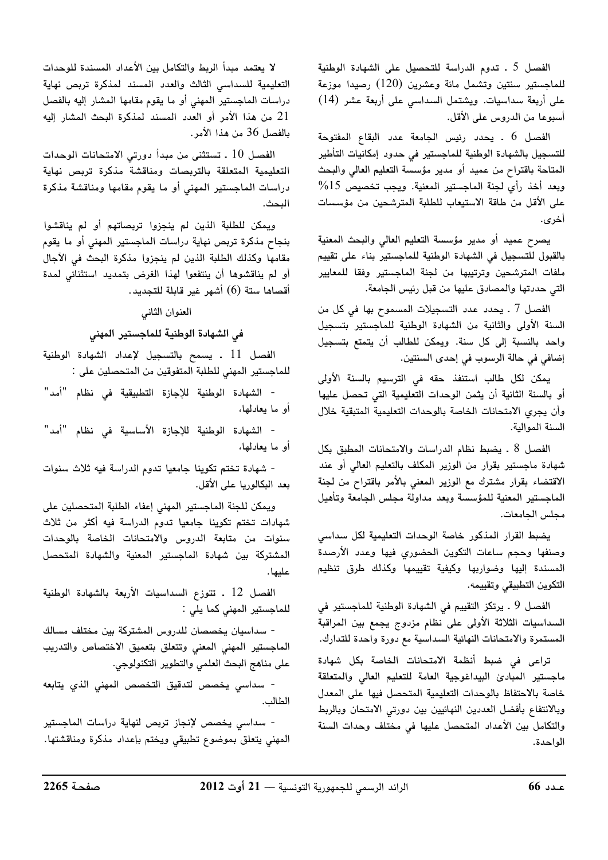الفصل 5 ـ تدوم الدراسة للتحصيل على الشهادة الوطنية للماجستير سنتين وتشمل مائة وعشرين (120) رصيدا موزعة على أربعة سداسيات. ويشتمل السداسي على أربعة عشر (14) أسبوعا من الدروس على الأقل.

الفصل 6 . يحدد رئيس الجامعة عدد البقاع المفتوحة للتسجيل بالشهادة الوطنية للماجستير في حدود إمكانيات التأطير المتاحة باقتراح من عميد أو مدير مؤسسة التعليم العالى والبحث وبعد أخذ رأى لجنة الماجستير المعنية. ويجب تخصيص 15% على الأقل من طاقة الاستيعاب للطلبة المترشحين من مؤسسات أخرى.

يصرح عميد أو مدير مؤسسة التعليم العالي والبحث المعنية بالقبول للتسجيل فى الشهادة الوطنية للماجستير بناء على تقييم ملفات المترشحين وترتيبها من لجنة الماجستير وفقا للمعايير التي حددتها والمصادق عليها من قبل رئيس الجامعة.

الفصل 7 ـ يحدد عدد التسجيلات المسموح بها في كل من السنة الأولى والثانية من الشهادة الوطنية للماجستير بتسجيل واحد بالنسبة إلى كل سنة. ويمكن للطالب أن يتمتع بتسجيل إضافي في حالة الرسوب في إحدى السنتين.

يمكن لكل طالب استنفذ حقه في الترسيم بالسنة الأولى أو بالسنة الثانية أن يثمن الوحدات التعليمية التي تحصل عليها وأن يجري الامتحانات الخاصة بالوحدات التعليمية المتبقية خلال السنة الموالية.

الفصل 8 ـ يضبط نظام الدراسات والامتحانات المطبق بكل شهادة ماجستير بقرار من الوزير المكلف بالتعليم العالى أو عند الاقتضاء بقرار مشترك مع الوزير المعنى بالأمر باقتراح من لجنة الماجستير المعنية للمؤسسة وبعد مداولة مجلس الجامعة وتأهيل محلس الحامعات.

يضبط القرار المذكور خاصة الوحدات التعليمية لكل سداسى وصنفها وحجم ساعات التكوين الحضورى فيها وعدد الأرصدة المسندة إليها وضواربها وكيفية تقييمها وكذلك طرق تنظيم التكوين التطبيقي وتقييمه.

الفصل 9 . يرتكز التقييم في الشهادة الوطنية للماجستير في السداسيات الثلاثة الأولى على نظام مزدوج يجمع بين المراقبة المستمرة والامتحانات النهائية السداسية مع دورة واحدة للتدارك.

تراعى فى ضبط أنظمة الامتحانات الخاصة بكل شهادة ماجستير المبادئ البيداغوجية العامة للتعليم العالى والمتعلقة خاصة بالاحتفاظ بالوحدات التعليمية المتحصل فيها على المعدل وبالانتفاع بأفضل العددين النهائيين بين دورتى الامتحان وبالربط والتكامل بين الأعداد المتحصل عليها في مختلف وحدات السنة الواحدة.

لا يعتمد مبدأ الربط والتكامل بين الأعداد المسندة للوحدات التعليمية للسداسى الثالث والعدد المسند لمذكرة تربص نهاية دراسات الماجستير المهنى أو ما يقوم مقامها المشار إليه بالفصل 21 من هذا الأمر أو العدد المسند لمذكرة البحث المشار إليه بالفصل 36 من هذا الأمر.

الفصل 10 . تستثنى من مبدأ دورتى الامتحانات الوحدات التعليمية المتعلقة بالتربصات ومناقشة مذكرة تربص نهاية دراسات الماجستير المهنى أو ما يقوم مقامها ومناقشة مذكرة الىحث.

ويمكن للطلبة الذين لم ينجزوا تربصاتهم أو لم يناقشوا بنجاح مذكرة تربص نهاية دراسات الماجستير المهنى أو ما يقوم مقامها وكذلك الطلبة الذين لم ينجزوا مذكرة البحث فى الأجال أو لم يناقشوها أن ينتفعوا لهذا الغرض بتمديد استثنائى لمدة أقصاها ستة (6) أشهر غير قابلة للتجديد.

العنوان الثاني

في الشهادة الوطنية للماجستير المهنى

الفصل 11 . يسمح بالتسجيل لإعداد الشهادة الوطنية للماجستير المهنى للطلبة المتفوقين من المتحصلين على :

- الشهادة الوطنية للإجازة التطبيقية فى نظام "أمد" أو ما يعادلها،

- الشهادة الوطنية للإجازة الأساسية فى نظام "أمد" أو ما يعادلها،

- شهادة تختم تكوينا جامعيا تدوم الدراسة فيه ثلاث سنوات بعد البكالوريا على الأقل.

ويمكن للجنة الماجستير المهنى إعفاء الطلبة المتحصلين على شهادات تختم تكوينا جامعيا تدوم الدراسة فيه أكثر من ثلاث سنوات من متابعة الدروس والامتحانات الخاصة بالوحدات المشتركة بين شهادة الماجستير المعنية والشهادة المتحصل عليها .

الفصل 12 . تتوزع السداسيات الأربعة بالشهادة الوطنية للماجستير المهنى كما يلى :

- سداسيان يخصصان للدروس المشتركة بين مختلف مسالك الماجستير المهنى المعنى وتتعلق بتعميق الاختصاص والتدريب على مناهج البحث العلمي والتطوير التكنولوجي.

- سداسى يخصص لتدقيق التخصص المهنى الذي يتابعه الطالب.

- سداسی يخصص لإنجاز تربص لنهاية دراسات الماجستير المهنى يتعلق بموضوع تطبيقى ويختم بإعداد مذكرة ومناقشتها.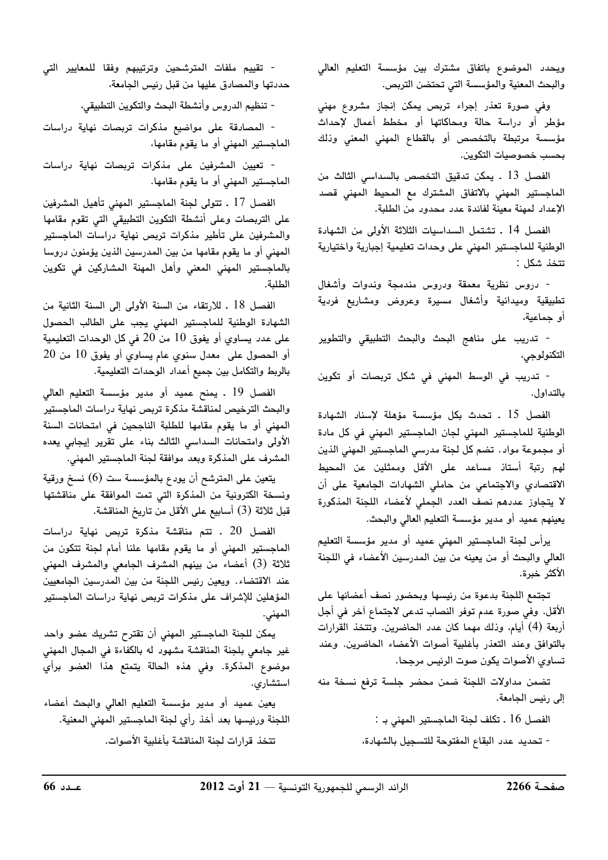ويحدد الموضوع باتفاق مشترك بين مؤسسة التعليم العالي والبحث المعنية والمؤسسة التي تحتضن التربص.

وفی صورة تعذر إجراء تربص يمكن إنجاز مشروع مهنی مؤطر أو دراسة حالة ومحاكاتها أو مخطط أعمال لإحداث مؤسسة مرتبطة بالتخصص أو بالقطاع المهني المعني وذلك بحسب خصوصيات التكوين.

الفصل 13 . يمكن تدقيق التخصص بالسداسى الثالث من الماجستير المهنى بالاتفاق المشترك مع المحيط المهني قصد الإعداد لمهنة معينة لفائدة عدد محدود من الطلبة.

الفصل 14 . تشتمل السداسيات الثلاثة الأولى من الشهادة الوطنية للماجستير المهنى على وحدات تعليمية إجبارية واختيارية تتخذ شكل :

- دروس نظرية معمقة ودروس مندمجة وندوات وأشغال تطبيقية وميدانية وأشغال مسيرة وعروض ومشاريع فردية أو جماعية،

- تدريب على مناهج البحث والبحث التطبيقى والتطوير التكنولوجي،

- تدريب في الوسط المهني في شكل تربصات أو تكوين بالتداول.

الفصل 15 . تحدث بكل مؤسسة مؤهلة لإسناد الشهادة الوطنية للماجستير المهنى لجان الماجستير المهنى فى كل مادة أو مجموعة مواد . تضم كل لجنة مدرسى الماجستير المهنى الذين لهم رتبة أستاذ مساعد على الأقل وممثلين عن المحيط الاقتصادي والاجتماعى من حاملى الشهادات الجامعية على أن لا يتجاوز عددهم نصف العدد الجملى لأعضاء اللجنة المذكورة يعينهم عميد أو مدير مؤسسة التعليم العالي والبحث.

يرأس لجنة الماجستير المهنى عميد أو مدير مؤسسة التعليم العالى والبحث أو من يعينه من بين المدرسين الأعضاء في اللجنة الأكثر خبرة.

تجتمع اللجنة بدعوة من رئيسها وبحضور نصف أعضائها على الأقل. وفي صورة عدم توفر النصاب تدعى لاجتماع آخر في أجل أربعة (4) أيام، وذلك مهما كان عدد الحاضرين. وتتخذ القرارات بالتوافق وعند التعذر بأغلبية أصوات الأعضاء الحاضرين. وعند تساوي الأصوات يكون صوت الرئيس مرجحا.

تضمن مداولات اللجنة ضمن محضر جلسة ترفع نسخة منه إلى رئيس الجامعة.

> الفصل 16 . تكلف لجنة الماجستير المهنى بـ : - تحديد عدد البقاع المفتوحة للتسجيل بالشهادة،

- تقييم ملفات المترشحين وترتيبهم وفقا للمعايير التي حددتها والمصادق عليها من قبل رئيس الجامعة،

- تنظيم الدروس وأنشطة البحث والتكوين التطبيقي،

- المصادقة على مواضيع مذكرات تربصات نهاية دراسات الماجستير المهنى أو ما يقوم مقامها،

- تعيين المشرفين على مذكرات تربصات نهاية دراسات الماجستير المهني أو ما يقوم مقامها.

الفصل 17 ـ تتولى لجنة الماجستير المهنى تأهيل المشرفين على التربصات وعلى أنشطة التكوين التطبيقى التى تقوم مقامها والمشرفين على تأطير مذكرات تربص نهاية دراسات الماجستير المهنى أو ما يقوم مقامها من بين المدرسين الذين يؤمنون دروسا بالماجستير المهنى المعنى وأهل المهنة المشاركين فى تكوين الطلبة.

الفصل 18 . للارتقاء من السنة الأولى إلى السنة الثانية من الشهادة الوطنية للماجستير المهنى يجب على الطالب الحصول على عدد يساوي أو يفوق 10 من 20 في كل الوحدات التعليمية أو الحصول على معدل سنوي عام يساوي أو يفوق 10 من 20 بالربط والتكامل بين جميع أعداد الوحدات التعليمية.

الفصل 19 . يمنح عميد أو مدير مؤسسة التعليم العالي والبحث الترخيص لمناقشة مذكرة تربص نهاية دراسات الماجستير المهنى أو ما يقوم مقامها للطلبة الناجحين فى امتحانات السنة الأولى وامتحانات السداسى الثالث بناء على تقرير إيجابى يعده المشرف على المذكرة وبعد موافقة لجنة الماجستير المهني.

يتعين على المترشح أن يودع بالمؤسسة ست (6) نسخ ورقية ونسخة الكترونية من المذكرة التى تمت الموافقة على مناقشتها قبل ثلاثة (3) أسابيع على الأقل من تاريخ المناقشة.

الفصل 20 . تتم مناقشة مذكرة تربص نهاية دراسات الماجستير المهنى أو ما يقوم مقامها علنا أمام لجنة تتكون من ثلاثة (3) أعضاء من بينهم المشرف الجامعى والمشرف المهنى عند الاقتضاء. ويعين رئيس اللجنة من بين المدرسين الجامعيين المؤهلين للإشراف على مذكرات تربص نهاية دراسات الماجستير المهنى.

يمكن للجنة الماجستير المهني أن تقترح تشريك عضو واحد غير جامعي بلجنة المناقشة مشهود له بالكفاءة في المجال المهنى موضوع المذكرة. وفي هذه الحالة يتمتع هذا العضو برأي استشارى.

يعين عميد أو مدير مؤسسة التعليم العالى والبحث أعضاء اللجنة ورئيسها بعد أخذ رأي لجنة الماجستير المهنى المعنية. تتخذ قرارات لجنة المناقشة بأغلبية الأصوات.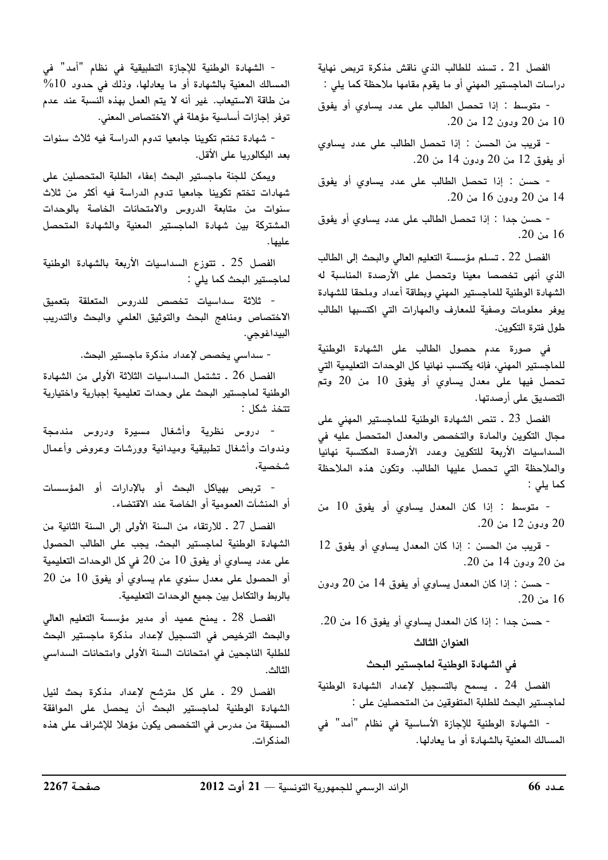الفصل 21 . تسند للطالب الذي ناقش مذكرة تربص نهاية دراسات الماجستير المهنى أو ما يقوم مقامها ملاحظة كما يلى :

- متوسط : إذا تحصل الطالب على عدد يساوي أو يفوق 10 من 20 ودون 12 من 20.

- قريب من الحسن : إذا تحصل الطالب على عدد يساوى أو يفوق 12 من 20 ودون 14 من 20.

- حسن : إذا تحصل الطالب على عدد يساوي أو يفوق 14 من 20 ودون 16 من 20.

- حسن جدا : إذا تحصل الطالب على عدد يساوي أو يفوق  $.20 \div 16$ 

الفصل 22 ـ تسلم مؤسسة التعليم العالي والبحث إلى الطالب الذي أنهى تخصصا معينا وتحصل على الأرصدة المناسبة له الشهادة الوطنية للماجستير المهنى وبطاقة أعداد وملحقا للشهادة يوفر معلومات وصفية للمعارف والمهارات التى اكتسبها الطالب طول فترة التكوين.

في صورة عدم حصول الطالب على الشهادة الوطنية للماجستير المهنى، فإنه يكتسب نهائيا كل الوحدات التعليمية التى تحصل فيها على معدل يساوي أو يفوق 10 من 20 وتم التصديق على أرصدتها.

الفصل 23 . تنص الشهادة الوطنية للماجستير المهنى على مجال التكوين والمادة والتخصص والمعدل المتحصل عليه في السداسيات الأربعة للتكوين وعدد الأرصدة المكتسبة نهائيا والملاحظة التى تحصل عليها الطالب. وتكون هذه الملاحظة كما يلى :

- متوسط : إذا كان المعدل يساوي أو يفوق 10 من 20 ودون 12 من 20.

- قريب من الحسن : إذا كان المعدل يساوي أو يفوق 12 من 20 ودون 14 من 20.

- حسن : إذا كان المعدل يساوى أو يفوق 14 من 20 ودون  $.20 \omega$ 16

- حسن جدا : إذا كان المعدل يساوي أو يفوق 16 من 20. العنوان الثالث

فى الشهادة الوطنية لماجستير البحث

الفصل 24 . يسمح بالتسجيل لإعداد الشهادة الوطنية لماجستير البحث للطلبة المتفوقين من المتحصلين على :

- الشهادة الوطنية للإجازة الأساسية في نظام "أمد" في المسالك المعنية بالشهادة أو ما يعادلها.

- الشهادة الوطنية للإجازة التطبيقية في نظام "أمد" في المسالك المعنية بالشهادة أو ما يعادلها، وذلك في حدود 10% من طاقة الاستيعاب. غير أنه لا يتم العمل بهذه النسبة عند عدم توفر إجازات أساسية مؤهلة في الاختصاص المعنى.

- شهادة تختم تكوينا جامعيا تدوم الدراسة فيه ثلاث سنوات بعد البكالوريا على الأقل.

ويمكن للجنة ماجستير البحث إعفاء الطلبة المتحصلين على شهادات تختم تكوينا جامعيا تدوم الدراسة فيه أكثر من ثلاث سنوات من متابعة الدروس والامتحانات الخاصة بالوحدات المشتركة بين شهادة الماجستير المعنية والشهادة المتحصل علىما .

الفصل 25 . تتوزع السداسيات الأربعة بالشهادة الوطنية لماجستير البحث كما يلي :

- ثلاثة سداسيات تخصص للدروس المتعلقة بتعميق الاختصاص ومناهج البحث والتوثيق العلمى والبحث والتدريب البيداغوجي.

- سداسي يخصص لإعداد مذكرة ماجستير البحث.

الفصل 26 . تشتمل السداسيات الثلاثة الأولى من الشهادة الوطنية لماجستير البحث على وحدات تعليمية إجبارية واختيارية تتخذ شكل :

- دروس نظرية وأش**غ**ال مسيرة ودروس مندمجة وندوات وأشغال تطبيقية وميدانية وورشات وعروض وأعمال شخصية،

- تربص بهياكل البحث أو بالإدارات أو المؤسسات أو المنشآت العمومية أو الخاصة عند الاقتضاء.

الفصل 27 ـ للارتقاء من السنة الأولى إلى السنة الثانية من الشهادة الوطنية لماجستير البحث، يجب على الطالب الحصول على عدد يساوي أو يفوق 10 من 20 في كل الوحدات التعليمية أو الحصول على معدل سنوي عام يساوي أو يفوق 10 من 20 بالربط والتكامل بين جميع الوحدات التعليمية.

الفصل 28 ـ يمنح عميد أو مدير مؤسسة التعليم العالي والبحث الترخيص فى التسجيل لإعداد مذكرة ماجستير البحث للطلبة الناجحين فى امتحانات السنة الأولى وامتحانات السداسى الثالث.

الفصل 29 ـ على كل مترشح لإعداد مذكرة بحث لنيل الشهادة الوطنية لماجستير البحث أن يحصل على الموافقة المسبقة من مدرس في التخصص يكون مؤهلا للإشراف على هذه المذكرات.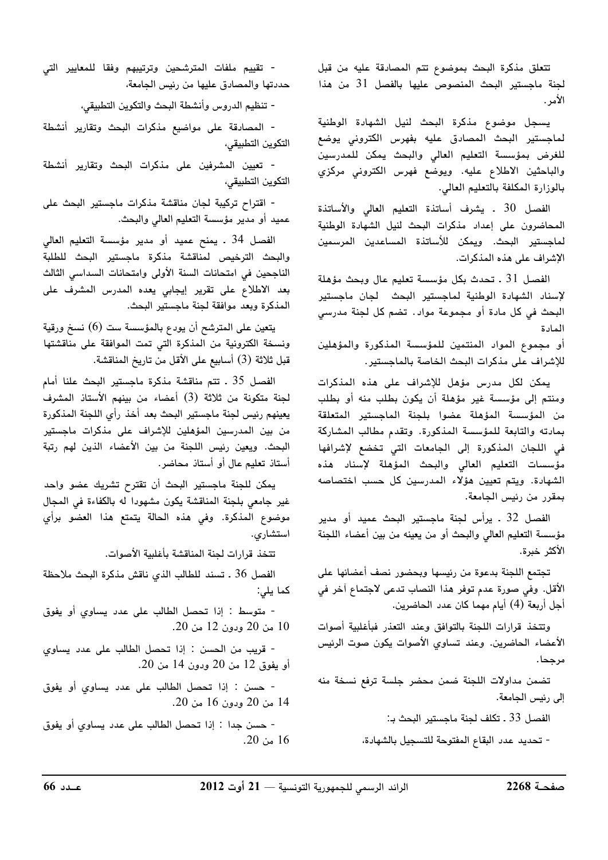تتعلق مذكرة البحث بموضوع تتم المصادقة عليه من قبل لجنة ماجستير البحث المنصوص عليها بالفصل 31 من هذا الأمر .

يسجل موضوع مذكرة البحث لنيل الشهادة الوطنية لماجستير البحث المصادق عليه بفهرس الكترونى يوضع للغرض بمؤسسة التعليم العالى والبحث يمكن للمدرسين والباحثين الاطلاع عليه. ويوضع فهرس الكتروني مركزي بالوزارة المكلفة بالتعليم العالي.

الفصل 30 ـ يشرف أساتذة التعليم العالى والأساتذة المحاضرون على إعداد مذكرات البحث لنيل الشهادة الوطنية لماجستير البحث. ويمكن للأساتذة المساعدين المرسمين الإشراف على هذه المذكرات.

الفصل 31 . تحدث بكل مؤسسة تعليم عال وبحث مؤهلة لإسناد الشهادة الوطنية لماجستير البحث لجان ماجستير البحث في كل مادة أو مجموعة مواد. تضم كل لجنة مدرسي المادة

أو مجموع المواد المنتمين للمؤسسة المذكورة والمؤهلين للإشراف على مذكرات البحث الخاصة بالماجستير.

يمكن لكل مدرس مؤهل للإشراف على هذه المذكرات ومنتم إلى مؤسسة غير مؤهلة أن يكون بطلب منه أو بطلب من المؤسسة المؤهلة عضوا بلجنة الماجستير المتعلقة بمادته والتابعة للمؤسسة المذكورة. وتقدم مطالب المشاركة فى اللجان المذكورة إلى الجامعات التى تخضع لإشرافها مؤسسات التعليم العالى والبحث المؤهلة لإسناد هذه الشهادة. ويتم تعيين هؤلاء المدرسين كل حسب اختصاصه بمقرر من رئيس الجامعة.

الفصل 32 . يرأس لجنة ماجستير البحث عميد أو مدير مؤسسة التعليم العالى والبحث أو من يعينه من بين أعضاء اللجنة الأكثر خبرة.

تجتمع اللجنة بدعوة من رئيسها وبحضور نصف أعضائها على الأقل. وفي صورة عدم توفر هذا النصاب تدعى لاجتماع آخر في أجل أربعة (4) أيام مهما كان عدد الحاضرين.

وتتخذ قرارات اللجنة بالتوافق وعند التعذر فبأغلبية أصوات الأعضاء الحاضرين. وعند تساوي الأصوات يكون صوت الرئيس مرجحا.

تضمن مداولات اللجنة ضمن محضر جلسة ترفع نسخة منه إلى رئيس الجامعة.

الفصل 33 ـ تكلف لجنة ماجستير البحث بـ:

- تحديد عدد البقاع المفتوحة للتسجيل بالشهادة،

- تقييم ملفات المترشحين وترتيبهم وفقا للمعايير التي حددتها والمصادق عليها من رئيس الجامعة،

- تنظيم الدروس وأنشطة البحث والتكوين التطبيقي،

- المصادقة على مواضيع مذكرات البحث وتقارير أنشطة التكوين التطبيقي،

- تعيين المشرفين على مذكرات البحث وتقارير أنشطة التكوين التطبيقي،

- اقتراح تركيبة لجان مناقشة مذكرات ماجستير البحث على عميد أو مدير مؤسسة التعليم العالي والبحث.

الفصل 34 . يمنح عميد أو مدير مؤسسة التعليم العالي والبحث الترخيص لمناقشة مذكرة ماجستير البحث للطلبة الناجحين في امتحانات السنة الأولى وامتحانات السداسي الثالث بعد الاطلاع على تقرير إيجابي يعده المدرس المشرف على المذكرة وبعد موافقة لجنة ماجستير البحث.

يتعين على المترشح أن يودع بالمؤسسة ست (6) نسخ ورقية ونسخة الكترونية من المذكرة التى تمت الموافقة على مناقشتها قبل ثلاثة (3) أسابيع على الأقل من تاريخ المناقشة.

الفصل 35 . تتم مناقشة مذكرة ماجستير البحث علنا أمام لجنة متكونة من ثلاثة (3) أعضاء من بينهم الأستاذ المشرف يعينهم رئيس لجنة ماجستير البحث بعد أخذ رأي اللجنة المذكورة من بين المدرسين المؤهلين للإشراف على مذكرات ماجستير البحث. ويعين رئيس اللجنة من بين الأعضاء الذين لهم رتبة أستاذ تعليم عال أو أستاذ محاضر.

يمكن للجنة ماجستير البحث أن تقترح تشريك عضو واحد غير جامعي بلجنة المناقشة يكون مشهودا له بالكفاءة في المجال موضوع المذكرة. وفى هذه الحالة يتمتع هذا العضو برأي استشارى.

تتخذ قرارات لجنة المناقشة بأغلبية الأصوات.

الفصل 36 . تسند للطالب الذي ناقش مذكرة البحث ملاحظة كما يلي:

- متوسط : إذا تحصل الطالب على عدد يساوى أو يفوق 10 من 20 ودون 12 من 20.

- قريب من الحسن : إذا تحصل الطالب على عدد يساوي أو يفوق 12 من 20 ودون 14 من 20.

- حسن : إذا تحصل الطالب على عدد يساوي أو يفوق 14 من 20 ودون 16 من 20.

- حسن جدا : إذا تحصل الطالب على عدد يساوى أو يفوق 16 من 20.